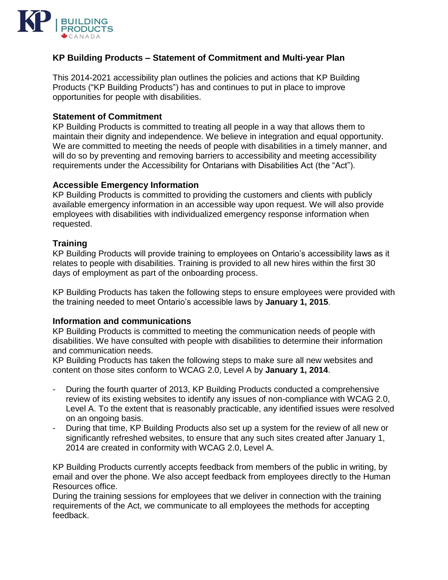

# **KP Building Products – Statement of Commitment and Multi-year Plan**

This 2014-2021 accessibility plan outlines the policies and actions that KP Building Products ("KP Building Products") has and continues to put in place to improve opportunities for people with disabilities.

## **Statement of Commitment**

KP Building Products is committed to treating all people in a way that allows them to maintain their dignity and independence. We believe in integration and equal opportunity. We are committed to meeting the needs of people with disabilities in a timely manner, and will do so by preventing and removing barriers to accessibility and meeting accessibility requirements under the Accessibility for Ontarians with Disabilities Act (the "Act").

## **Accessible Emergency Information**

KP Building Products is committed to providing the customers and clients with publicly available emergency information in an accessible way upon request. We will also provide employees with disabilities with individualized emergency response information when requested.

## **Training**

KP Building Products will provide training to employees on Ontario's accessibility laws as it relates to people with disabilities. Training is provided to all new hires within the first 30 days of employment as part of the onboarding process.

KP Building Products has taken the following steps to ensure employees were provided with the training needed to meet Ontario's accessible laws by **January 1, 2015**.

### **Information and communications**

KP Building Products is committed to meeting the communication needs of people with disabilities. We have consulted with people with disabilities to determine their information and communication needs.

KP Building Products has taken the following steps to make sure all new websites and content on those sites conform to WCAG 2.0, Level A by **January 1, 2014**.

- During the fourth quarter of 2013, KP Building Products conducted a comprehensive review of its existing websites to identify any issues of non-compliance with WCAG 2.0, Level A. To the extent that is reasonably practicable, any identified issues were resolved on an ongoing basis.
- During that time, KP Building Products also set up a system for the review of all new or significantly refreshed websites, to ensure that any such sites created after January 1, 2014 are created in conformity with WCAG 2.0, Level A.

KP Building Products currently accepts feedback from members of the public in writing, by email and over the phone. We also accept feedback from employees directly to the Human Resources office.

During the training sessions for employees that we deliver in connection with the training requirements of the Act, we communicate to all employees the methods for accepting feedback.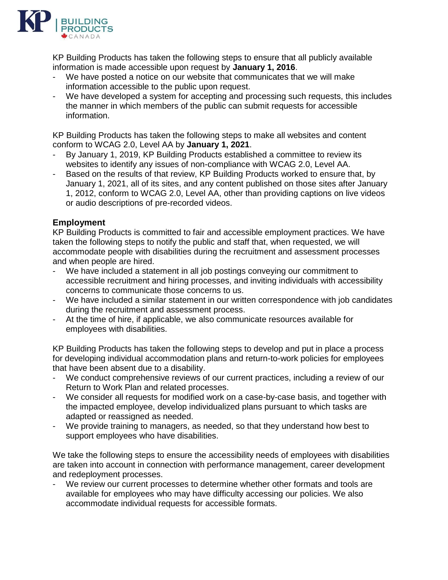

KP Building Products has taken the following steps to ensure that all publicly available information is made accessible upon request by **January 1, 2016**.

- We have posted a notice on our website that communicates that we will make information accessible to the public upon request.
- We have developed a system for accepting and processing such requests, this includes the manner in which members of the public can submit requests for accessible information.

KP Building Products has taken the following steps to make all websites and content conform to WCAG 2.0, Level AA by **January 1, 2021**.

- By January 1, 2019, KP Building Products established a committee to review its websites to identify any issues of non-compliance with WCAG 2.0, Level AA.
- Based on the results of that review, KP Building Products worked to ensure that, by January 1, 2021, all of its sites, and any content published on those sites after January 1, 2012, conform to WCAG 2.0, Level AA, other than providing captions on live videos or audio descriptions of pre-recorded videos.

# **Employment**

KP Building Products is committed to fair and accessible employment practices. We have taken the following steps to notify the public and staff that, when requested, we will accommodate people with disabilities during the recruitment and assessment processes and when people are hired.

- We have included a statement in all job postings conveying our commitment to accessible recruitment and hiring processes, and inviting individuals with accessibility concerns to communicate those concerns to us.
- We have included a similar statement in our written correspondence with job candidates during the recruitment and assessment process.
- At the time of hire, if applicable, we also communicate resources available for employees with disabilities.

KP Building Products has taken the following steps to develop and put in place a process for developing individual accommodation plans and return-to-work policies for employees that have been absent due to a disability.

- We conduct comprehensive reviews of our current practices, including a review of our Return to Work Plan and related processes.
- We consider all requests for modified work on a case-by-case basis, and together with the impacted employee, develop individualized plans pursuant to which tasks are adapted or reassigned as needed.
- We provide training to managers, as needed, so that they understand how best to support employees who have disabilities.

We take the following steps to ensure the accessibility needs of employees with disabilities are taken into account in connection with performance management, career development and redeployment processes.

We review our current processes to determine whether other formats and tools are available for employees who may have difficulty accessing our policies. We also accommodate individual requests for accessible formats.